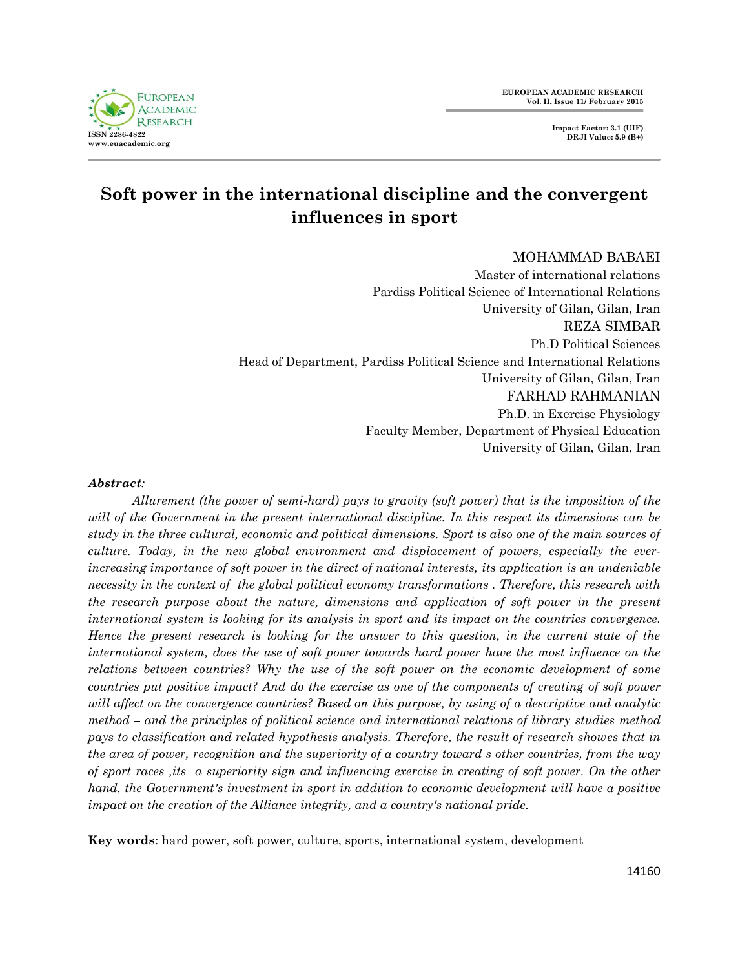

# **Soft power in the international discipline and the convergent influences in sport**

## MOHAMMAD BABAEI

Master of international relations Pardiss Political Science of International Relations University of Gilan, Gilan, Iran REZA SIMBAR Ph.D Political Sciences Head of Department, Pardiss Political Science and International Relations University of Gilan, Gilan, Iran FARHAD RAHMANIAN Ph.D. in Exercise Physiology Faculty Member, Department of Physical Education University of Gilan, Gilan, Iran

#### *Abstract:*

*Allurement (the power of semi-hard) pays to gravity (soft power) that is the imposition of the will of the Government in the present international discipline. In this respect its dimensions can be study in the three cultural, economic and political dimensions. Sport is also one of the main sources of culture. Today, in the new global environment and displacement of powers, especially the everincreasing importance of soft power in the direct of national interests, its application is an undeniable necessity in the context of the global political economy transformations . Therefore, this research with the research purpose about the nature, dimensions and application of soft power in the present international system is looking for its analysis in sport and its impact on the countries convergence. Hence the present research is looking for the answer to this question, in the current state of the international system, does the use of soft power towards hard power have the most influence on the relations between countries? Why the use of the soft power on the economic development of some countries put positive impact? And do the exercise as one of the components of creating of soft power will affect on the convergence countries? Based on this purpose, by using of a descriptive and analytic method – and the principles of political science and international relations of library studies method pays to classification and related hypothesis analysis. Therefore, the result of research showes that in the area of power, recognition and the superiority of a country toward s other countries, from the way of sport races ,its a superiority sign and influencing exercise in creating of soft power. On the other hand, the Government's investment in sport in addition to economic development will have a positive impact on the creation of the Alliance integrity, and a country's national pride.*

**Key words**: hard power, soft power, culture, sports, international system, development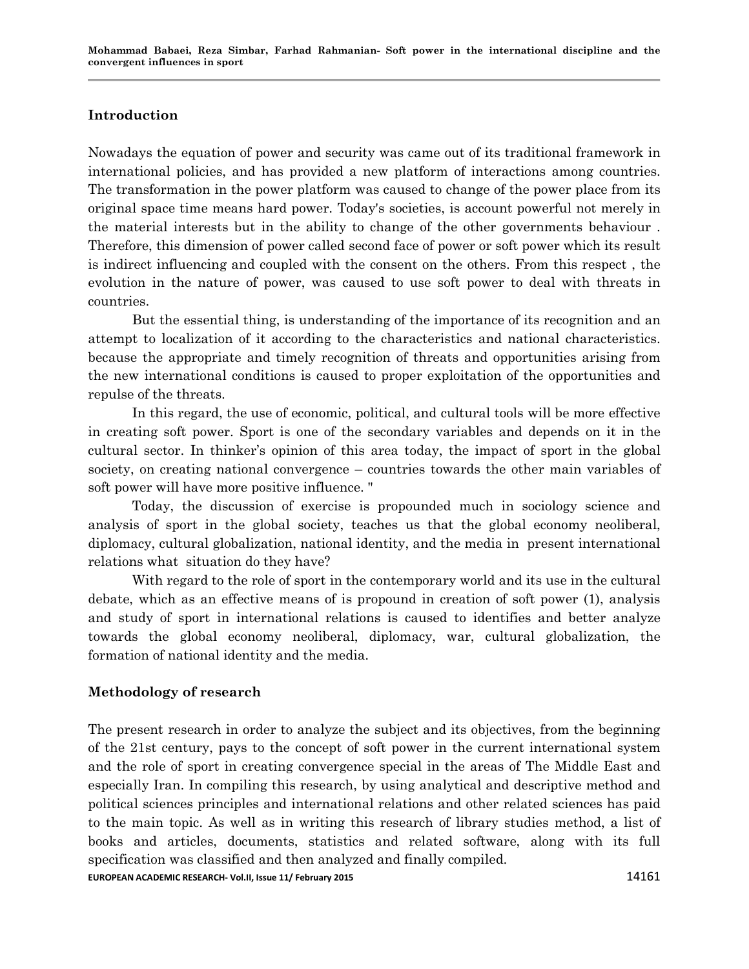# **Introduction**

Nowadays the equation of power and security was came out of its traditional framework in international policies, and has provided a new platform of interactions among countries. The transformation in the power platform was caused to change of the power place from its original space time means hard power. Today's societies, is account powerful not merely in the material interests but in the ability to change of the other governments behaviour . Therefore, this dimension of power called second face of power or soft power which its result is indirect influencing and coupled with the consent on the others. From this respect , the evolution in the nature of power, was caused to use soft power to deal with threats in countries.

But the essential thing, is understanding of the importance of its recognition and an attempt to localization of it according to the characteristics and national characteristics. because the appropriate and timely recognition of threats and opportunities arising from the new international conditions is caused to proper exploitation of the opportunities and repulse of the threats.

In this regard, the use of economic, political, and cultural tools will be more effective in creating soft power. Sport is one of the secondary variables and depends on it in the cultural sector. In thinker's opinion of this area today, the impact of sport in the global society, on creating national convergence – countries towards the other main variables of soft power will have more positive influence. "

Today, the discussion of exercise is propounded much in sociology science and analysis of sport in the global society, teaches us that the global economy neoliberal, diplomacy, cultural globalization, national identity, and the media in present international relations what situation do they have?

With regard to the role of sport in the contemporary world and its use in the cultural debate, which as an effective means of is propound in creation of soft power (1), analysis and study of sport in international relations is caused to identifies and better analyze towards the global economy neoliberal, diplomacy, war, cultural globalization, the formation of national identity and the media.

## **Methodology of research**

The present research in order to analyze the subject and its objectives, from the beginning of the 21st century, pays to the concept of soft power in the current international system and the role of sport in creating convergence special in the areas of The Middle East and especially Iran. In compiling this research, by using analytical and descriptive method and political sciences principles and international relations and other related sciences has paid to the main topic. As well as in writing this research of library studies method, a list of books and articles, documents, statistics and related software, along with its full specification was classified and then analyzed and finally compiled.

**EUROPEAN ACADEMIC RESEARCH- Vol.II, Issue 11/ February 2015** 14161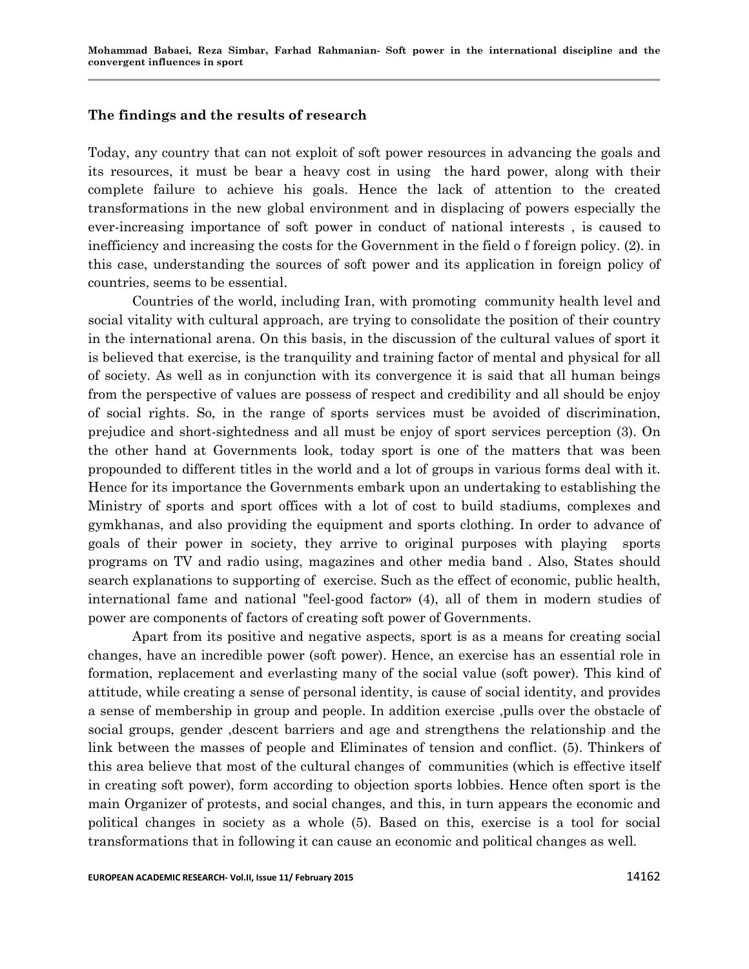#### **The findings and the results of research**

Today, any country that can not exploit of soft power resources in advancing the goals and its resources, it must be bear a heavy cost in using the hard power, along with their complete failure to achieve his goals. Hence the lack of attention to the created transformations in the new global environment and in displacing of powers especially the ever-increasing importance of soft power in conduct of national interests , is caused to inefficiency and increasing the costs for the Government in the field o f foreign policy. (2). in this case, understanding the sources of soft power and its application in foreign policy of countries, seems to be essential.

Countries of the world, including Iran, with promoting community health level and social vitality with cultural approach, are trying to consolidate the position of their country in the international arena. On this basis, in the discussion of the cultural values of sport it is believed that exercise, is the tranquility and training factor of mental and physical for all of society. As well as in conjunction with its convergence it is said that all human beings from the perspective of values are possess of respect and credibility and all should be enjoy of social rights. So, in the range of sports services must be avoided of discrimination, prejudice and short-sightedness and all must be enjoy of sport services perception (3). On the other hand at Governments look, today sport is one of the matters that was been propounded to different titles in the world and a lot of groups in various forms deal with it. Hence for its importance the Governments embark upon an undertaking to establishing the Ministry of sports and sport offices with a lot of cost to build stadiums, complexes and gymkhanas, and also providing the equipment and sports clothing. In order to advance of goals of their power in society, they arrive to original purposes with playing sports programs on TV and radio using, magazines and other media band . Also, States should search explanations to supporting of exercise. Such as the effect of economic, public health, international fame and national "feel-good factor» (4), all of them in modern studies of power are components of factors of creating soft power of Governments.

Apart from its positive and negative aspects, sport is as a means for creating social changes, have an incredible power (soft power). Hence, an exercise has an essential role in formation, replacement and everlasting many of the social value (soft power). This kind of attitude, while creating a sense of personal identity, is cause of social identity, and provides a sense of membership in group and people. In addition exercise ,pulls over the obstacle of social groups, gender ,descent barriers and age and strengthens the relationship and the link between the masses of people and Eliminates of tension and conflict. (5). Thinkers of this area believe that most of the cultural changes of communities (which is effective itself in creating soft power), form according to objection sports lobbies. Hence often sport is the main Organizer of protests, and social changes, and this, in turn appears the economic and political changes in society as a whole (5). Based on this, exercise is a tool for social transformations that in following it can cause an economic and political changes as well.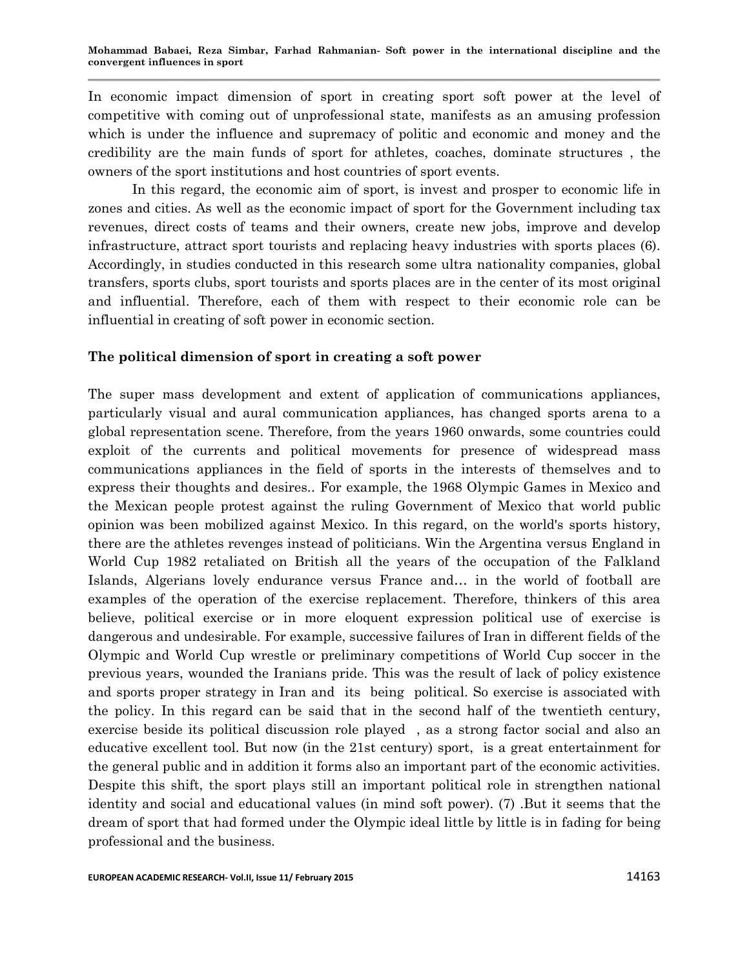In economic impact dimension of sport in creating sport soft power at the level of competitive with coming out of unprofessional state, manifests as an amusing profession which is under the influence and supremacy of politic and economic and money and the credibility are the main funds of sport for athletes, coaches, dominate structures , the owners of the sport institutions and host countries of sport events.

In this regard, the economic aim of sport, is invest and prosper to economic life in zones and cities. As well as the economic impact of sport for the Government including tax revenues, direct costs of teams and their owners, create new jobs, improve and develop infrastructure, attract sport tourists and replacing heavy industries with sports places (6). Accordingly, in studies conducted in this research some ultra nationality companies, global transfers, sports clubs, sport tourists and sports places are in the center of its most original and influential. Therefore, each of them with respect to their economic role can be influential in creating of soft power in economic section.

# **The political dimension of sport in creating a soft power**

The super mass development and extent of application of communications appliances, particularly visual and aural communication appliances, has changed sports arena to a global representation scene. Therefore, from the years 1960 onwards, some countries could exploit of the currents and political movements for presence of widespread mass communications appliances in the field of sports in the interests of themselves and to express their thoughts and desires.. For example, the 1968 Olympic Games in Mexico and the Mexican people protest against the ruling Government of Mexico that world public opinion was been mobilized against Mexico. In this regard, on the world's sports history, there are the athletes revenges instead of politicians. Win the Argentina versus England in World Cup 1982 retaliated on British all the years of the occupation of the Falkland Islands, Algerians lovely endurance versus France and… in the world of football are examples of the operation of the exercise replacement. Therefore, thinkers of this area believe, political exercise or in more eloquent expression political use of exercise is dangerous and undesirable. For example, successive failures of Iran in different fields of the Olympic and World Cup wrestle or preliminary competitions of World Cup soccer in the previous years, wounded the Iranians pride. This was the result of lack of policy existence and sports proper strategy in Iran and its being political. So exercise is associated with the policy. In this regard can be said that in the second half of the twentieth century, exercise beside its political discussion role played , as a strong factor social and also an educative excellent tool. But now (in the 21st century) sport, is a great entertainment for the general public and in addition it forms also an important part of the economic activities. Despite this shift, the sport plays still an important political role in strengthen national identity and social and educational values (in mind soft power). (7) .But it seems that the dream of sport that had formed under the Olympic ideal little by little is in fading for being professional and the business.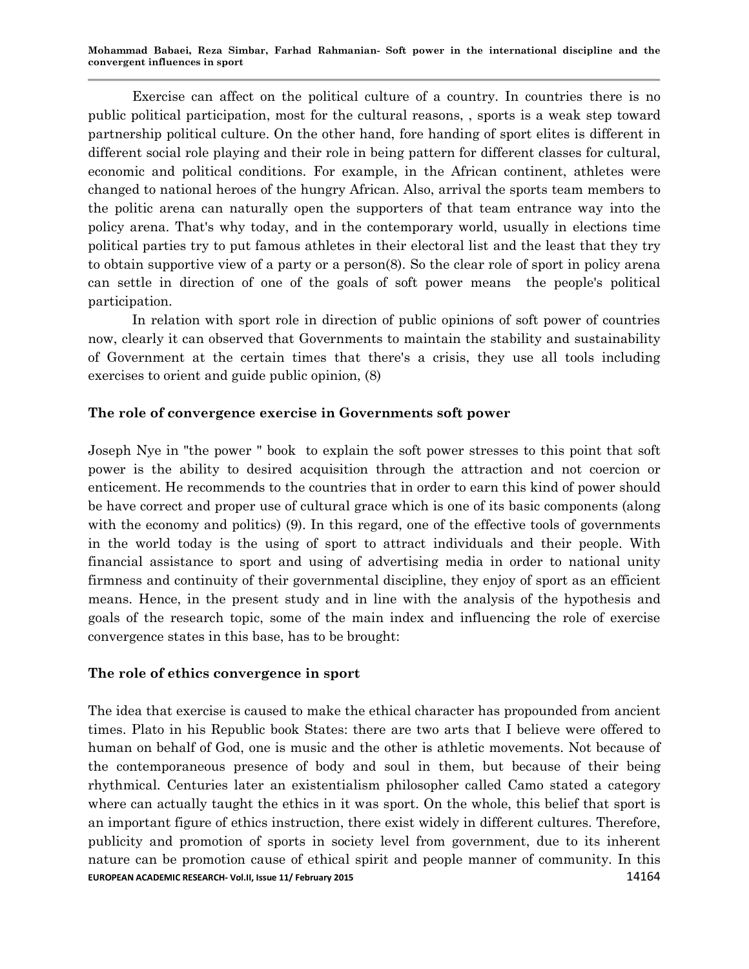Exercise can affect on the political culture of a country. In countries there is no public political participation, most for the cultural reasons, , sports is a weak step toward partnership political culture. On the other hand, fore handing of sport elites is different in different social role playing and their role in being pattern for different classes for cultural, economic and political conditions. For example, in the African continent, athletes were changed to national heroes of the hungry African. Also, arrival the sports team members to the politic arena can naturally open the supporters of that team entrance way into the policy arena. That's why today, and in the contemporary world, usually in elections time political parties try to put famous athletes in their electoral list and the least that they try to obtain supportive view of a party or a person(8). So the clear role of sport in policy arena can settle in direction of one of the goals of soft power means the people's political participation.

In relation with sport role in direction of public opinions of soft power of countries now, clearly it can observed that Governments to maintain the stability and sustainability of Government at the certain times that there's a crisis, they use all tools including exercises to orient and guide public opinion, (8)

# **The role of convergence exercise in Governments soft power**

Joseph Nye in "the power " book to explain the soft power stresses to this point that soft power is the ability to desired acquisition through the attraction and not coercion or enticement. He recommends to the countries that in order to earn this kind of power should be have correct and proper use of cultural grace which is one of its basic components (along with the economy and politics) (9). In this regard, one of the effective tools of governments in the world today is the using of sport to attract individuals and their people. With financial assistance to sport and using of advertising media in order to national unity firmness and continuity of their governmental discipline, they enjoy of sport as an efficient means. Hence, in the present study and in line with the analysis of the hypothesis and goals of the research topic, some of the main index and influencing the role of exercise convergence states in this base, has to be brought:

## **The role of ethics convergence in sport**

**EUROPEAN ACADEMIC RESEARCH- Vol.II, Issue 11/ February 2015** 14164 The idea that exercise is caused to make the ethical character has propounded from ancient times. Plato in his Republic book States: there are two arts that I believe were offered to human on behalf of God, one is music and the other is athletic movements. Not because of the contemporaneous presence of body and soul in them, but because of their being rhythmical. Centuries later an existentialism philosopher called Camo stated a category where can actually taught the ethics in it was sport. On the whole, this belief that sport is an important figure of ethics instruction, there exist widely in different cultures. Therefore, publicity and promotion of sports in society level from government, due to its inherent nature can be promotion cause of ethical spirit and people manner of community. In this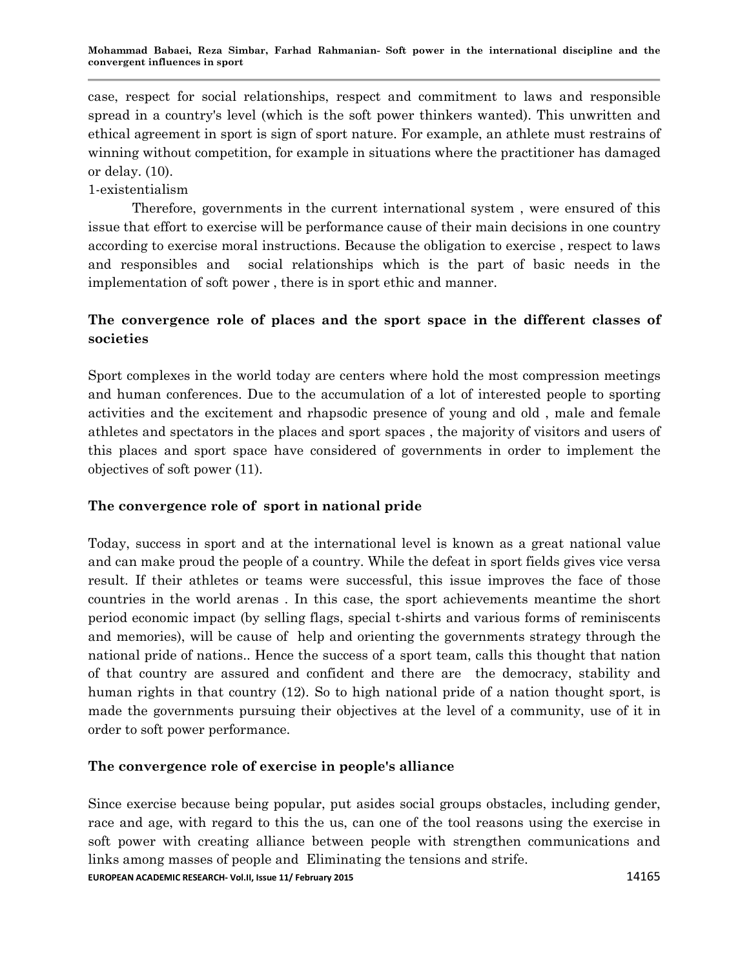case, respect for social relationships, respect and commitment to laws and responsible spread in a country's level (which is the soft power thinkers wanted). This unwritten and ethical agreement in sport is sign of sport nature. For example, an athlete must restrains of winning without competition, for example in situations where the practitioner has damaged or delay. (10).

# 1-existentialism

Therefore, governments in the current international system , were ensured of this issue that effort to exercise will be performance cause of their main decisions in one country according to exercise moral instructions. Because the obligation to exercise , respect to laws and responsibles and social relationships which is the part of basic needs in the implementation of soft power , there is in sport ethic and manner.

# **The convergence role of places and the sport space in the different classes of societies**

Sport complexes in the world today are centers where hold the most compression meetings and human conferences. Due to the accumulation of a lot of interested people to sporting activities and the excitement and rhapsodic presence of young and old , male and female athletes and spectators in the places and sport spaces , the majority of visitors and users of this places and sport space have considered of governments in order to implement the objectives of soft power (11).

# **The convergence role of sport in national pride**

Today, success in sport and at the international level is known as a great national value and can make proud the people of a country. While the defeat in sport fields gives vice versa result. If their athletes or teams were successful, this issue improves the face of those countries in the world arenas . In this case, the sport achievements meantime the short period economic impact (by selling flags, special t-shirts and various forms of reminiscents and memories), will be cause of help and orienting the governments strategy through the national pride of nations.. Hence the success of a sport team, calls this thought that nation of that country are assured and confident and there are the democracy, stability and human rights in that country (12). So to high national pride of a nation thought sport, is made the governments pursuing their objectives at the level of a community, use of it in order to soft power performance.

## **The convergence role of exercise in people's alliance**

EUROPEAN ACADEMIC RESEARCH-Vol.II, Issue 11/ February 2015<br>
14165 Since exercise because being popular, put asides social groups obstacles, including gender, race and age, with regard to this the us, can one of the tool reasons using the exercise in soft power with creating alliance between people with strengthen communications and links among masses of people and Eliminating the tensions and strife.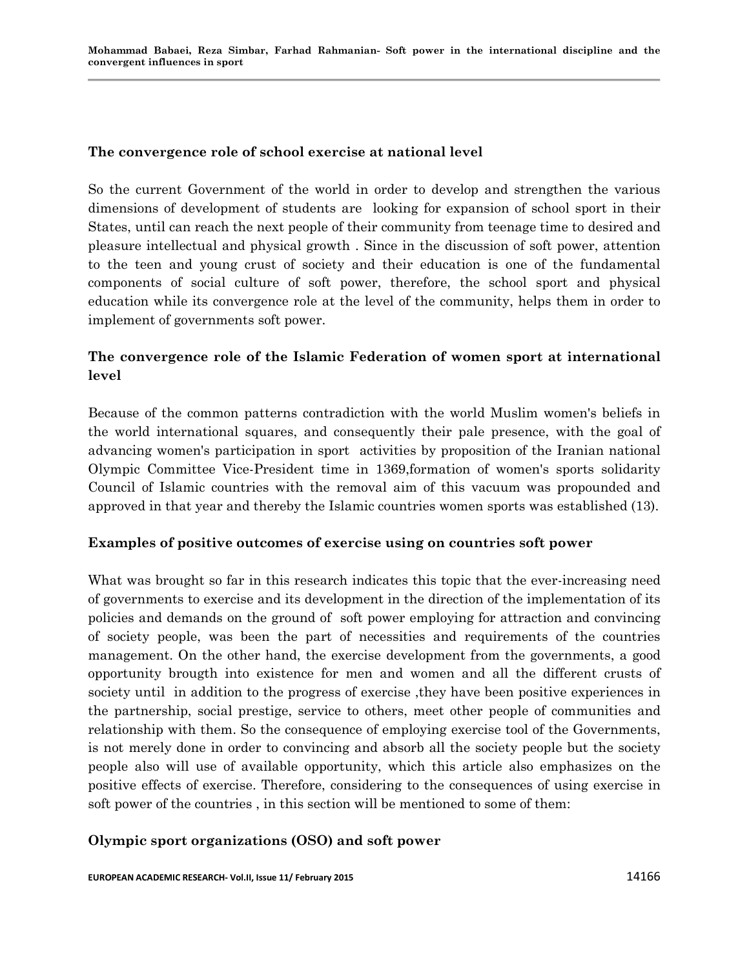#### **The convergence role of school exercise at national level**

So the current Government of the world in order to develop and strengthen the various dimensions of development of students are looking for expansion of school sport in their States, until can reach the next people of their community from teenage time to desired and pleasure intellectual and physical growth . Since in the discussion of soft power, attention to the teen and young crust of society and their education is one of the fundamental components of social culture of soft power, therefore, the school sport and physical education while its convergence role at the level of the community, helps them in order to implement of governments soft power.

# **The convergence role of the Islamic Federation of women sport at international level**

Because of the common patterns contradiction with the world Muslim women's beliefs in the world international squares, and consequently their pale presence, with the goal of advancing women's participation in sport activities by proposition of the Iranian national Olympic Committee Vice-President time in 1369,formation of women's sports solidarity Council of Islamic countries with the removal aim of this vacuum was propounded and approved in that year and thereby the Islamic countries women sports was established (13).

## **Examples of positive outcomes of exercise using on countries soft power**

What was brought so far in this research indicates this topic that the ever-increasing need of governments to exercise and its development in the direction of the implementation of its policies and demands on the ground of soft power employing for attraction and convincing of society people, was been the part of necessities and requirements of the countries management. On the other hand, the exercise development from the governments, a good opportunity brougth into existence for men and women and all the different crusts of society until in addition to the progress of exercise ,they have been positive experiences in the partnership, social prestige, service to others, meet other people of communities and relationship with them. So the consequence of employing exercise tool of the Governments, is not merely done in order to convincing and absorb all the society people but the society people also will use of available opportunity, which this article also emphasizes on the positive effects of exercise. Therefore, considering to the consequences of using exercise in soft power of the countries , in this section will be mentioned to some of them:

## **Olympic sport organizations (OSO) and soft power**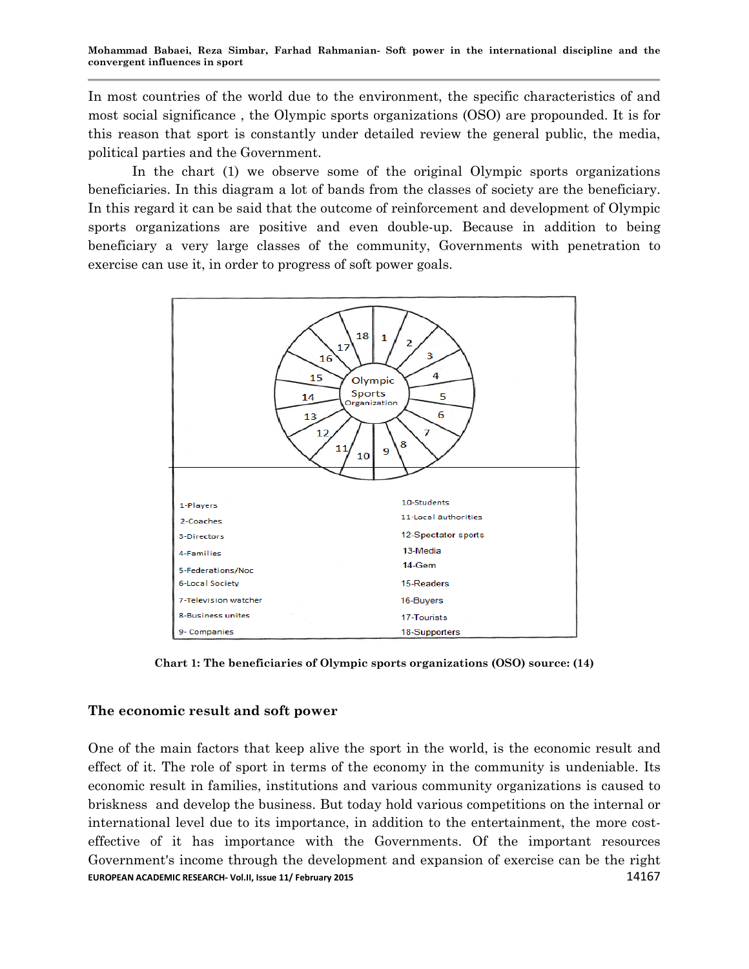In most countries of the world due to the environment, the specific characteristics of and most social significance , the Olympic sports organizations (OSO) are propounded. It is for this reason that sport is constantly under detailed review the general public, the media, political parties and the Government.

In the chart (1) we observe some of the original Olympic sports organizations beneficiaries. In this diagram a lot of bands from the classes of society are the beneficiary. In this regard it can be said that the outcome of reinforcement and development of Olympic sports organizations are positive and even double-up. Because in addition to being beneficiary a very large classes of the community, Governments with penetration to exercise can use it, in order to progress of soft power goals.



**Chart 1: The beneficiaries of Olympic sports organizations (OSO) source: (14)**

## **The economic result and soft power**

**EUROPEAN ACADEMIC RESEARCH- Vol.II, Issue 11/ February 2015** 14167 14167 One of the main factors that keep alive the sport in the world, is the economic result and effect of it. The role of sport in terms of the economy in the community is undeniable. Its economic result in families, institutions and various community organizations is caused to briskness and develop the business. But today hold various competitions on the internal or international level due to its importance, in addition to the entertainment, the more costeffective of it has importance with the Governments. Of the important resources Government's income through the development and expansion of exercise can be the right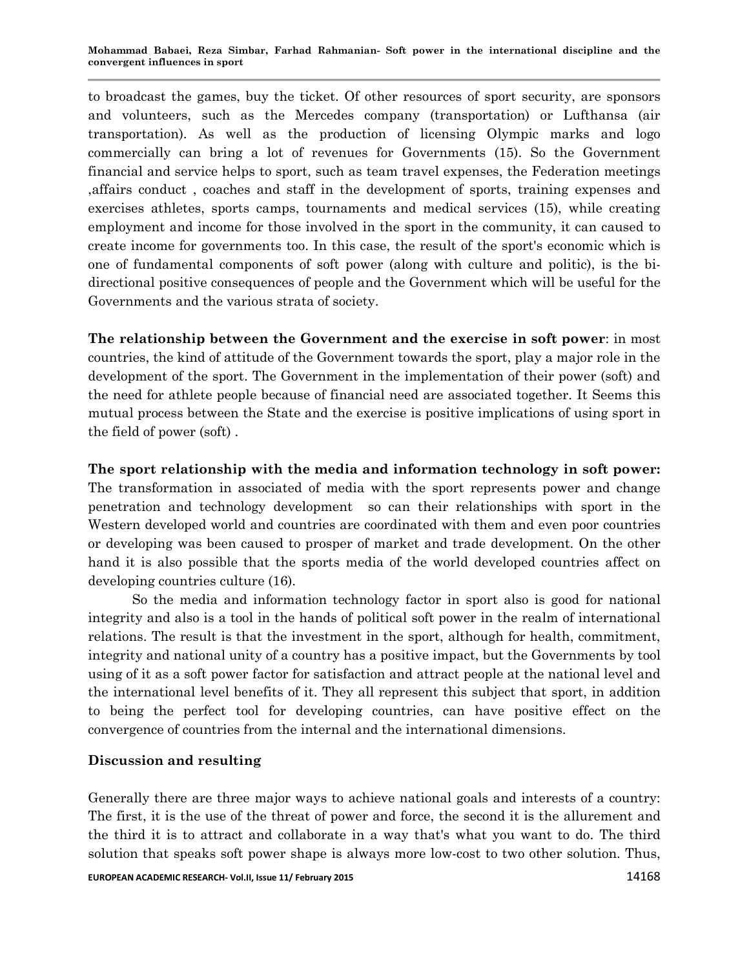to broadcast the games, buy the ticket. Of other resources of sport security, are sponsors and volunteers, such as the Mercedes company (transportation) or Lufthansa (air transportation). As well as the production of licensing Olympic marks and logo commercially can bring a lot of revenues for Governments (15). So the Government financial and service helps to sport, such as team travel expenses, the Federation meetings ,affairs conduct , coaches and staff in the development of sports, training expenses and exercises athletes, sports camps, tournaments and medical services (15), while creating employment and income for those involved in the sport in the community, it can caused to create income for governments too. In this case, the result of the sport's economic which is one of fundamental components of soft power (along with culture and politic), is the bidirectional positive consequences of people and the Government which will be useful for the Governments and the various strata of society.

**The relationship between the Government and the exercise in soft power**: in most countries, the kind of attitude of the Government towards the sport, play a major role in the development of the sport. The Government in the implementation of their power (soft) and the need for athlete people because of financial need are associated together. It Seems this mutual process between the State and the exercise is positive implications of using sport in the field of power (soft) .

**The sport relationship with the media and information technology in soft power:** The transformation in associated of media with the sport represents power and change penetration and technology development so can their relationships with sport in the Western developed world and countries are coordinated with them and even poor countries or developing was been caused to prosper of market and trade development. On the other hand it is also possible that the sports media of the world developed countries affect on developing countries culture (16).

So the media and information technology factor in sport also is good for national integrity and also is a tool in the hands of political soft power in the realm of international relations. The result is that the investment in the sport, although for health, commitment, integrity and national unity of a country has a positive impact, but the Governments by tool using of it as a soft power factor for satisfaction and attract people at the national level and the international level benefits of it. They all represent this subject that sport, in addition to being the perfect tool for developing countries, can have positive effect on the convergence of countries from the internal and the international dimensions.

# **Discussion and resulting**

Generally there are three major ways to achieve national goals and interests of a country: The first, it is the use of the threat of power and force, the second it is the allurement and the third it is to attract and collaborate in a way that's what you want to do. The third solution that speaks soft power shape is always more low-cost to two other solution. Thus,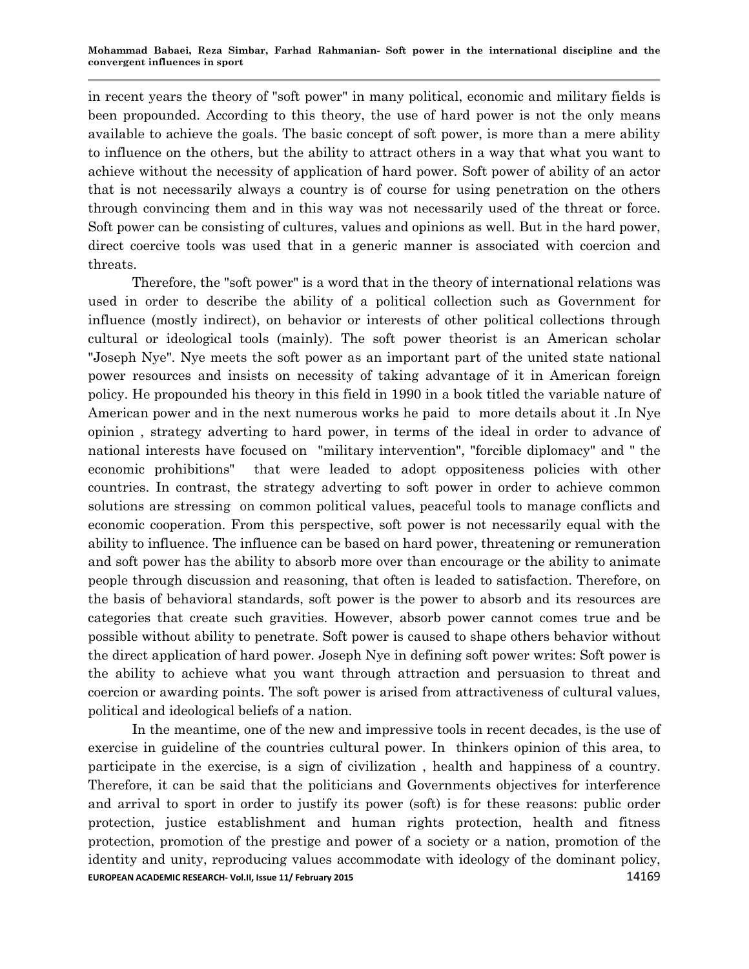in recent years the theory of "soft power" in many political, economic and military fields is been propounded. According to this theory, the use of hard power is not the only means available to achieve the goals. The basic concept of soft power, is more than a mere ability to influence on the others, but the ability to attract others in a way that what you want to achieve without the necessity of application of hard power. Soft power of ability of an actor that is not necessarily always a country is of course for using penetration on the others through convincing them and in this way was not necessarily used of the threat or force. Soft power can be consisting of cultures, values and opinions as well. But in the hard power, direct coercive tools was used that in a generic manner is associated with coercion and threats.

Therefore, the "soft power" is a word that in the theory of international relations was used in order to describe the ability of a political collection such as Government for influence (mostly indirect), on behavior or interests of other political collections through cultural or ideological tools (mainly). The soft power theorist is an American scholar "Joseph Nye". Nye meets the soft power as an important part of the united state national power resources and insists on necessity of taking advantage of it in American foreign policy. He propounded his theory in this field in 1990 in a book titled the variable nature of American power and in the next numerous works he paid to more details about it .In Nye opinion , strategy adverting to hard power, in terms of the ideal in order to advance of national interests have focused on "military intervention", "forcible diplomacy" and " the economic prohibitions" that were leaded to adopt oppositeness policies with other countries. In contrast, the strategy adverting to soft power in order to achieve common solutions are stressing on common political values, peaceful tools to manage conflicts and economic cooperation. From this perspective, soft power is not necessarily equal with the ability to influence. The influence can be based on hard power, threatening or remuneration and soft power has the ability to absorb more over than encourage or the ability to animate people through discussion and reasoning, that often is leaded to satisfaction. Therefore, on the basis of behavioral standards, soft power is the power to absorb and its resources are categories that create such gravities. However, absorb power cannot comes true and be possible without ability to penetrate. Soft power is caused to shape others behavior without the direct application of hard power. Joseph Nye in defining soft power writes: Soft power is the ability to achieve what you want through attraction and persuasion to threat and coercion or awarding points. The soft power is arised from attractiveness of cultural values, political and ideological beliefs of a nation.

**EUROPEAN ACADEMIC RESEARCH- Vol.II, Issue 11/ February 2015** 14169 In the meantime, one of the new and impressive tools in recent decades, is the use of exercise in guideline of the countries cultural power. In thinkers opinion of this area, to participate in the exercise, is a sign of civilization , health and happiness of a country. Therefore, it can be said that the politicians and Governments objectives for interference and arrival to sport in order to justify its power (soft) is for these reasons: public order protection, justice establishment and human rights protection, health and fitness protection, promotion of the prestige and power of a society or a nation, promotion of the identity and unity, reproducing values accommodate with ideology of the dominant policy,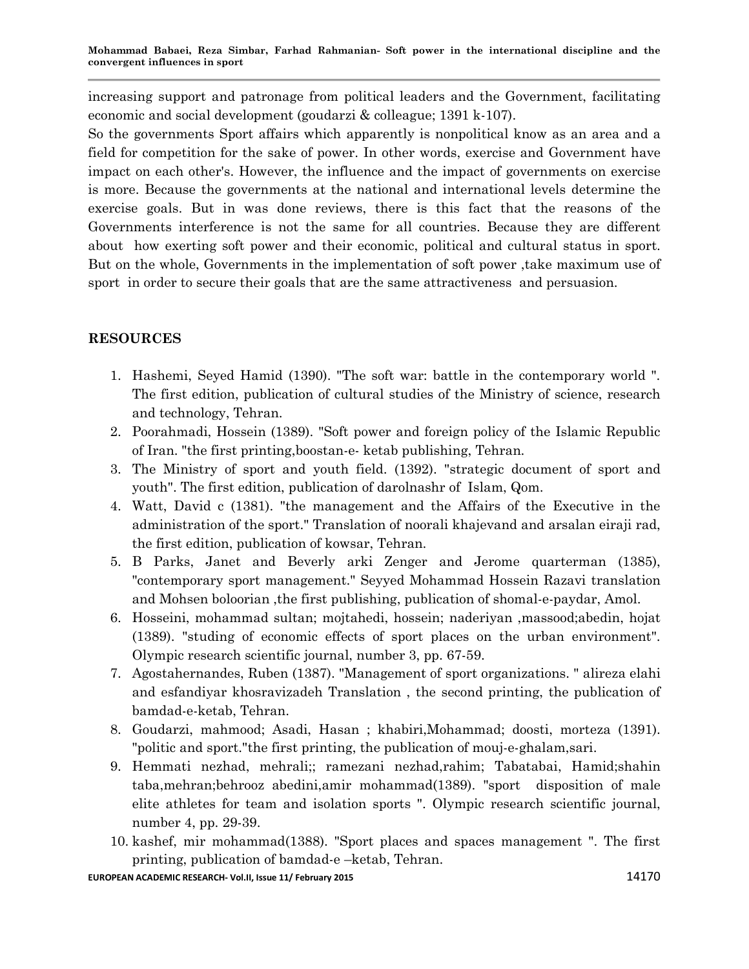increasing support and patronage from political leaders and the Government, facilitating economic and social development (goudarzi & colleague; 1391 k-107).

So the governments Sport affairs which apparently is nonpolitical know as an area and a field for competition for the sake of power. In other words, exercise and Government have impact on each other's. However, the influence and the impact of governments on exercise is more. Because the governments at the national and international levels determine the exercise goals. But in was done reviews, there is this fact that the reasons of the Governments interference is not the same for all countries. Because they are different about how exerting soft power and their economic, political and cultural status in sport. But on the whole, Governments in the implementation of soft power ,take maximum use of sport in order to secure their goals that are the same attractiveness and persuasion.

# **RESOURCES**

- 1. Hashemi, Seyed Hamid (1390). "The soft war: battle in the contemporary world ". The first edition, publication of cultural studies of the Ministry of science, research and technology, Tehran.
- 2. Poorahmadi, Hossein (1389). "Soft power and foreign policy of the Islamic Republic of Iran. "the first printing,boostan-e- ketab publishing, Tehran.
- 3. The Ministry of sport and youth field. (1392). "strategic document of sport and youth". The first edition, publication of darolnashr of Islam, Qom.
- 4. Watt, David c (1381). "the management and the Affairs of the Executive in the administration of the sport." Translation of noorali khajevand and arsalan eiraji rad, the first edition, publication of kowsar, Tehran.
- 5. B Parks, Janet and Beverly arki Zenger and Jerome quarterman (1385), "contemporary sport management." Seyyed Mohammad Hossein Razavi translation and Mohsen boloorian ,the first publishing, publication of shomal-e-paydar, Amol.
- 6. Hosseini, mohammad sultan; mojtahedi, hossein; naderiyan ,massood;abedin, hojat (1389). "studing of economic effects of sport places on the urban environment". Olympic research scientific journal, number 3, pp. 67-59.
- 7. Agostahernandes, Ruben (1387). "Management of sport organizations. " alireza elahi and esfandiyar khosravizadeh Translation , the second printing, the publication of bamdad-e-ketab, Tehran.
- 8. Goudarzi, mahmood; Asadi, Hasan ; khabiri,Mohammad; doosti, morteza (1391). "politic and sport."the first printing, the publication of mouj-e-ghalam,sari.
- 9. Hemmati nezhad, mehrali;; ramezani nezhad,rahim; Tabatabai, Hamid;shahin taba,mehran;behrooz abedini,amir mohammad(1389). "sport disposition of male elite athletes for team and isolation sports ". Olympic research scientific journal, number 4, pp. 29-39.
- 10. kashef, mir mohammad(1388). "Sport places and spaces management ". The first printing, publication of bamdad-e –ketab, Tehran.